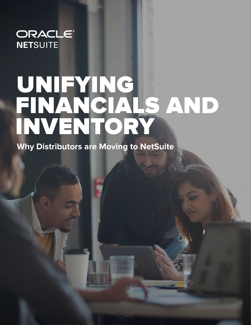#### ORACLE® **NETSUITE**

# UNIFYING FINANCIALS AND INVENTORY

**Why Distributors are Moving to NetSuite**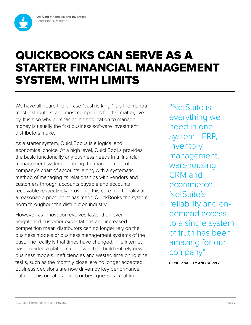

### QUICKBOOKS CAN SERVE AS A STARTER FINANCIAL MANAGEMENT SYSTEM, WITH LIMITS

We have all heard the phrase "cash is king." It is the mantra most distributors, and most companies for that matter, live by. It is also why purchasing an application to manage money is usually the first business software investment distributors make.

As a starter system, QuickBooks is a logical and economical choice. At a high level, QuickBooks provides the basic functionality any business needs in a financial management system: enabling the management of a company's chart of accounts, along with a systematic method of managing its relationships with vendors and customers through accounts payable and accounts receivable respectively. Providing this core functionality at a reasonable price point has made QuickBooks the system norm throughout the distribution industry.

However, as innovation evolves faster than ever, heightened customer expectations and increased competition mean distributors can no longer rely on the business models or business management systems of the past. The reality is that times have changed. The internet has provided a platform upon which to build entirely new business models. Inefficiencies and wasted time on routine tasks, such as the monthly close, are no longer accepted. Business decisions are now driven by key performance data, not historical practices or best guesses. Real-time

"NetSuite is everything we need in one system—ERP, inventory management, warehousing, CRM and ecommerce. NetSuite's reliability and ondemand access to a single system of truth has been amazing for our company"

**BECKER SAFETY AND SUPPLY**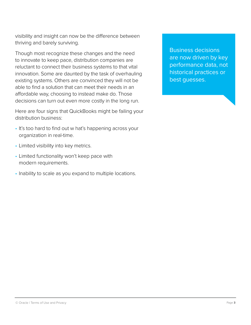visibility and insight can now be the difference between thriving and barely surviving.

Though most recognize these changes and the need to innovate to keep pace, distribution companies are reluctant to connect their business systems to that vital innovation. Some are daunted by the task of overhauling existing systems. Others are convinced they will not be able to find a solution that can meet their needs in an affordable way, choosing to instead make do. Those decisions can turn out even more costly in the long run.

Here are four signs that QuickBooks might be failing your distribution business:

- It's too hard to find out w hat's happening across your organization in real-time.
- Limited visibility into key metrics.
- Limited functionality won't keep pace with modern requirements.
- Inability to scale as you expand to multiple locations.

Business decisions are now driven by key performance data, not historical practices or best guesses.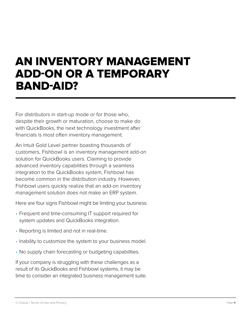#### AN INVENTORY MANAGEMENT ADD-ON OR A TEMPORARY BAND-AID?

For distributors in start-up mode or for those who, despite their growth or maturation, choose to make do with QuickBooks, the next technology investment after financials is most often inventory management.

An Intuit Gold Level partner boasting thousands of customers, Fishbowl is an inventory management add-on solution for QuickBooks users. Claiming to provide advanced inventory capabilities through a seamless integration to the QuickBooks system, Fishbowl has become common in the distribution industry. However, Fishbowl users quickly realize that an add-on inventory management solution does not make an ERP system.

Here are four signs Fishbowl might be limiting your business:

- Frequent and time-consuming IT support required for system updates and QuickBooks integration.
- Reporting is limited and not in real-time.
- Inability to customize the system to your business model.
- No supply chain forecasting or budgeting capabilities.

If your company is struggling with these challenges as a result of its QuickBooks and Fishbowl systems, it may be time to consider an integrated business management suite.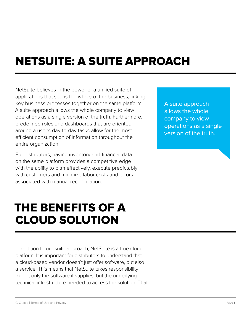## NETSUITE: A SUITE APPROACH

NetSuite believes in the power of a unified suite of applications that spans the whole of the business, linking key business processes together on the same platform. A suite approach allows the whole company to view operations as a single version of the truth. Furthermore, predefined roles and dashboards that are oriented around a user's day-to-day tasks allow for the most efficient consumption of information throughout the entire organization.

For distributors, having inventory and financial data on the same platform provides a competitive edge with the ability to plan effectively, execute predictably with customers and minimize labor costs and errors associated with manual reconciliation.

#### THE BENEFITS OF A CLOUD SOLUTION

In addition to our suite approach, NetSuite is a true cloud platform. It is important for distributors to understand that a cloud-based vendor doesn't just offer software, but also a service. This means that NetSuite takes responsibility for not only the software it supplies, but the underlying technical infrastructure needed to access the solution. That A suite approach allows the whole company to view operations as a single version of the truth.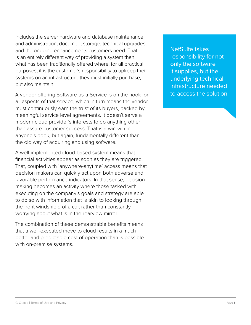includes the server hardware and database maintenance and administration, document storage, technical upgrades, and the ongoing enhancements customers need. That is an entirely different way of providing a system than what has been traditionally offered where, for all practical purposes, it is the customer's responsibility to upkeep their systems on an infrastructure they must initially purchase, but also maintain.

A vendor offering Software-as-a-Service is on the hook for all aspects of that service, which in turn means the vendor must continuously earn the trust of its buyers, backed by meaningful service level agreements. It doesn't serve a modern cloud provider's interests to do anything other than assure customer success. That is a win-win in anyone's book, but again, fundamentally different than the old way of acquiring and using software.

A well-implemented cloud-based system means that financial activities appear as soon as they are triggered. That, coupled with 'anywhere-anytime' access means that decision makers can quickly act upon both adverse and favorable performance indicators. In that sense, decisionmaking becomes an activity where those tasked with executing on the company's goals and strategy are able to do so with information that is akin to looking through the front windshield of a car, rather than constantly worrying about what is in the rearview mirror.

The combination of these demonstrable benefits means that a well-executed move to cloud results in a much better and predictable cost of operation than is possible with on-premise systems.

NetSuite takes responsibility for not only the software it supplies, but the underlying technical infrastructure needed to access the solution.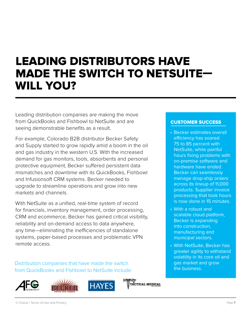### LEADING DISTRIBUTORS HAVE MADE THE SWITCH TO NETSUITE— WILL YOU?

Leading distribution companies are making the move from QuickBooks and Fishbowl to NetSuite and are seeing demonstrable benefits as a result.

For example, Colorado B2B distributor Becker Safety and Supply started to grow rapidly amid a boom in the oil and gas industry in the western U.S. With the increased demand for gas monitors, tools, absorbents and personal protective equipment, Becker suffered persistent data mismatches and downtime with its QuickBooks, Fishbowl and Infusionsoft CRM systems. Becker needed to upgrade to streamline operations and grow into new markets and channels.

With NetSuite as a unified, real-time system of record for financials, inventory management, order processing, CRM and ecommerce, Becker has gained critical visibility, reliability and on-demand access to data anywhere, any time—eliminating the inefficiencies of standalone systems, paper-based processes and problematic VPN remote access.

Distribution companies that have made the switch from QuickBooks and Fishbowl to NetSuite include:









#### CUSTOMER SUCCESS

- Becker estimates overall efficiency has soared 75 to 85 percent with NetSuite, while painful hours fixing problems with on-premise software and hardware have ended. Becker can seamlessly manage drop-ship orders across its lineup of 11,000 products. Supplier invoice processing that took hours is now done in 15 minutes.
- With a robust and scalable cloud platform, Becker is expanding into construction, manufacturing and municipal sectors.
- With NetSuite, Becker has greater agility to withstand volatility in its core oil and gas market and grow the business.